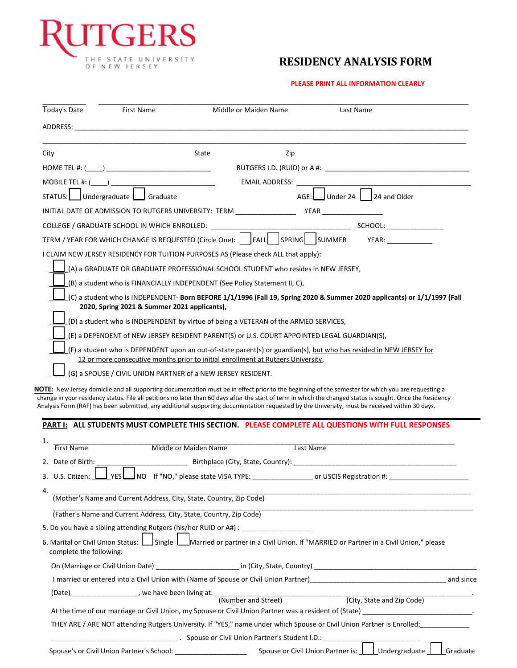

## **RESIDENCY ANALYSIS FORM**

#### **PLEASE PRINT ALL INFORMATION CLEARLY**

| Today's Date            | First Name                                                       | Middle or Maiden Name                                                                                                                                                                                                          | Last Name                                                                                                                                                                                                                                                                                                                                                                                                                                                                                                                                                                |
|-------------------------|------------------------------------------------------------------|--------------------------------------------------------------------------------------------------------------------------------------------------------------------------------------------------------------------------------|--------------------------------------------------------------------------------------------------------------------------------------------------------------------------------------------------------------------------------------------------------------------------------------------------------------------------------------------------------------------------------------------------------------------------------------------------------------------------------------------------------------------------------------------------------------------------|
|                         |                                                                  | ADDRESS: AND THE RESIDENCE OF THE RESIDENCE OF THE RESIDENCE OF THE RESIDENCE OF THE RESIDENCE OF THE RESIDENCE OF THE RESIDENCE OF THE RESIDENCE OF THE RESIDENCE OF THE RESIDENCE OF THE RESIDENCE OF THE RESIDENCE OF THE R |                                                                                                                                                                                                                                                                                                                                                                                                                                                                                                                                                                          |
| City                    |                                                                  | State                                                                                                                                                                                                                          | Zip                                                                                                                                                                                                                                                                                                                                                                                                                                                                                                                                                                      |
|                         |                                                                  |                                                                                                                                                                                                                                |                                                                                                                                                                                                                                                                                                                                                                                                                                                                                                                                                                          |
|                         |                                                                  |                                                                                                                                                                                                                                |                                                                                                                                                                                                                                                                                                                                                                                                                                                                                                                                                                          |
| MOBILE TEL #: $($       | STATUS: Undergraduate   Graduate                                 | EMAIL ADDRESS:                                                                                                                                                                                                                 | $AGE:$ Under 24 $\Big $ 24 and Older                                                                                                                                                                                                                                                                                                                                                                                                                                                                                                                                     |
|                         |                                                                  | INITIAL DATE OF ADMISSION TO RUTGERS UNIVERSITY: TERM ____________________YEAR _____________________                                                                                                                           |                                                                                                                                                                                                                                                                                                                                                                                                                                                                                                                                                                          |
|                         | COLLEGE / GRADUATE SCHOOL IN WHICH ENROLLED: ___________         |                                                                                                                                                                                                                                | <b>SCHOOL: SCHOOL:</b>                                                                                                                                                                                                                                                                                                                                                                                                                                                                                                                                                   |
|                         |                                                                  |                                                                                                                                                                                                                                | TERM / YEAR FOR WHICH CHANGE IS REQUESTED (Circle One):    FALL   SPRING   SUMMER YEAR: _________                                                                                                                                                                                                                                                                                                                                                                                                                                                                        |
|                         |                                                                  |                                                                                                                                                                                                                                |                                                                                                                                                                                                                                                                                                                                                                                                                                                                                                                                                                          |
|                         |                                                                  | I CLAIM NEW JERSEY RESIDENCY FOR TUITION PURPOSES AS (Please check ALL that apply):<br>(A) a GRADUATE OR GRADUATE PROFESSIONAL SCHOOL STUDENT who resides in NEW JERSEY,                                                       |                                                                                                                                                                                                                                                                                                                                                                                                                                                                                                                                                                          |
|                         |                                                                  |                                                                                                                                                                                                                                |                                                                                                                                                                                                                                                                                                                                                                                                                                                                                                                                                                          |
|                         |                                                                  | (B) a student who is FINANCIALLY INDEPENDENT (See Policy Statement II, C),                                                                                                                                                     |                                                                                                                                                                                                                                                                                                                                                                                                                                                                                                                                                                          |
|                         | 2020, Spring 2021 & Summer 2021 applicants),                     |                                                                                                                                                                                                                                | (C) a student who is INDEPENDENT- Born BEFORE 1/1/1996 (Fall 19, Spring 2020 & Summer 2020 applicants) or 1/1/1997 (Fall                                                                                                                                                                                                                                                                                                                                                                                                                                                 |
|                         |                                                                  | (D) a student who is INDEPENDENT by virtue of being a VETERAN of the ARMED SERVICES,                                                                                                                                           |                                                                                                                                                                                                                                                                                                                                                                                                                                                                                                                                                                          |
|                         |                                                                  | (E) a DEPENDENT of NEW JERSEY RESIDENT PARENT(S) or U.S. COURT APPOINTED LEGAL GUARDIAN(S),                                                                                                                                    |                                                                                                                                                                                                                                                                                                                                                                                                                                                                                                                                                                          |
|                         |                                                                  |                                                                                                                                                                                                                                | (F) a student who is DEPENDENT upon an out-of-state parent(s) or guardian(s), but who has resided in NEW JERSEY for                                                                                                                                                                                                                                                                                                                                                                                                                                                      |
|                         |                                                                  | 12 or more consecutive months prior to initial enrollment at Rutgers University,                                                                                                                                               |                                                                                                                                                                                                                                                                                                                                                                                                                                                                                                                                                                          |
|                         |                                                                  | (G) a SPOUSE / CIVIL UNION PARTNER of a NEW JERSEY RESIDENT.                                                                                                                                                                   |                                                                                                                                                                                                                                                                                                                                                                                                                                                                                                                                                                          |
|                         |                                                                  |                                                                                                                                                                                                                                | NOTE: New Jersey domicile and all supporting documentation must be in effect prior to the beginning of the semester for which you are requesting a<br>change in your residency status. File all petitions no later than 60 days after the start of term in which the changed status is sought. Once the Residency<br>Analysis Form (RAF) has been submitted, any additional supporting documentation requested by the University, must be received within 30 days.<br>PART I: ALL STUDENTS MUST COMPLETE THIS SECTION. PLEASE COMPLETE ALL QUESTIONS WITH FULL RESPONSES |
| 1.                      |                                                                  |                                                                                                                                                                                                                                |                                                                                                                                                                                                                                                                                                                                                                                                                                                                                                                                                                          |
| <b>First Name</b>       |                                                                  | Middle or Maiden Name                                                                                                                                                                                                          | Last Name                                                                                                                                                                                                                                                                                                                                                                                                                                                                                                                                                                |
| 2. Date of Birth:       |                                                                  |                                                                                                                                                                                                                                |                                                                                                                                                                                                                                                                                                                                                                                                                                                                                                                                                                          |
|                         |                                                                  |                                                                                                                                                                                                                                | 3. U.S. Citizen: U YES U NO If "NO," please state VISA TYPE: ____________________ or USCIS Registration #: ___________                                                                                                                                                                                                                                                                                                                                                                                                                                                   |
| 4.                      |                                                                  | (Mother's Name and Current Address, City, State, Country, Zip Code)                                                                                                                                                            |                                                                                                                                                                                                                                                                                                                                                                                                                                                                                                                                                                          |
|                         |                                                                  |                                                                                                                                                                                                                                |                                                                                                                                                                                                                                                                                                                                                                                                                                                                                                                                                                          |
|                         |                                                                  | (Father's Name and Current Address, City, State, Country, Zip Code)                                                                                                                                                            |                                                                                                                                                                                                                                                                                                                                                                                                                                                                                                                                                                          |
|                         |                                                                  | 5. Do you have a sibling attending Rutgers (his/her RUID or A#) : _______________                                                                                                                                              |                                                                                                                                                                                                                                                                                                                                                                                                                                                                                                                                                                          |
| complete the following: |                                                                  |                                                                                                                                                                                                                                | 6. Marital or Civil Union Status: Single Married or partner in a Civil Union. If "MARRIED or Partner in a Civil Union," please                                                                                                                                                                                                                                                                                                                                                                                                                                           |
|                         |                                                                  |                                                                                                                                                                                                                                |                                                                                                                                                                                                                                                                                                                                                                                                                                                                                                                                                                          |
|                         |                                                                  |                                                                                                                                                                                                                                | I married or entered into a Civil Union with (Name of Spouse or Civil Union Partner)<br>1                                                                                                                                                                                                                                                                                                                                                                                                                                                                                |
|                         |                                                                  |                                                                                                                                                                                                                                |                                                                                                                                                                                                                                                                                                                                                                                                                                                                                                                                                                          |
|                         |                                                                  |                                                                                                                                                                                                                                |                                                                                                                                                                                                                                                                                                                                                                                                                                                                                                                                                                          |
|                         |                                                                  |                                                                                                                                                                                                                                | THEY ARE / ARE NOT attending Rutgers University. If "YES," name under which Spouse or Civil Union Partner is Enrolled:                                                                                                                                                                                                                                                                                                                                                                                                                                                   |
|                         |                                                                  | ___. Spouse or Civil Union Partner's Student I.D.: ____________                                                                                                                                                                |                                                                                                                                                                                                                                                                                                                                                                                                                                                                                                                                                                          |
|                         | Spouse's or Civil Union Partner's School: ______________________ |                                                                                                                                                                                                                                | Graduate<br>Spouse or Civil Union Partner is:<br>Undergraduate                                                                                                                                                                                                                                                                                                                                                                                                                                                                                                           |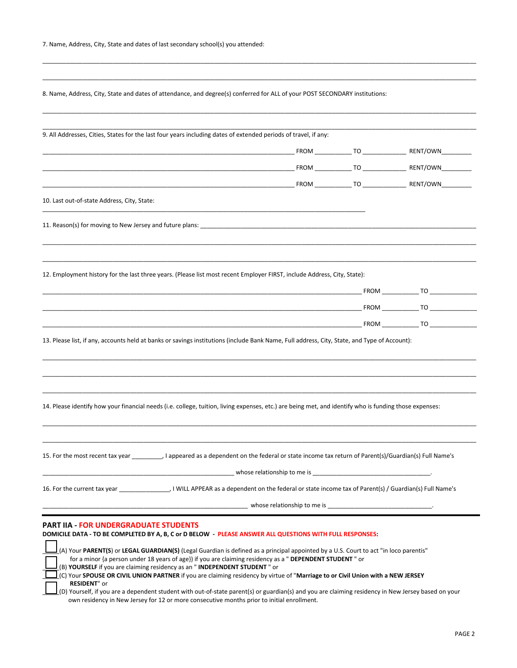| 7. Name, Address, City, State and dates of last secondary school(s) you attended: |  |
|-----------------------------------------------------------------------------------|--|
|-----------------------------------------------------------------------------------|--|

8. Name, Address, City, State and dates of attendance, and degree(s) conferred for ALL of your POST SECONDARY institutions:

\_\_\_\_\_\_\_\_\_\_\_\_\_\_\_\_\_\_\_\_\_\_\_\_\_\_\_\_\_\_\_\_\_\_\_\_\_\_\_\_\_\_\_\_\_\_\_\_\_\_\_\_\_\_\_\_\_\_\_\_\_\_\_\_\_\_\_\_\_\_\_\_\_\_\_\_\_\_\_\_\_\_\_\_\_\_\_\_\_\_\_\_\_\_\_\_\_\_\_\_\_\_\_\_\_\_\_\_\_\_\_\_\_\_\_\_\_\_\_\_\_\_\_\_\_\_\_\_\_ \_\_\_\_\_\_\_\_\_\_\_\_\_\_\_\_\_\_\_\_\_\_\_\_\_\_\_\_\_\_\_\_\_\_\_\_\_\_\_\_\_\_\_\_\_\_\_\_\_\_\_\_\_\_\_\_\_\_\_\_\_\_\_\_\_\_\_\_\_\_\_\_\_\_\_\_\_\_\_\_\_\_\_\_\_\_\_\_\_\_\_\_\_\_\_\_\_\_\_\_\_\_\_\_\_\_\_\_\_\_\_\_\_\_\_\_\_\_\_\_\_\_\_\_\_\_\_\_\_

| 10. Last out-of-state Address, City, State:                                                                                                              |                                                |                                                                                                                                       |  |
|----------------------------------------------------------------------------------------------------------------------------------------------------------|------------------------------------------------|---------------------------------------------------------------------------------------------------------------------------------------|--|
|                                                                                                                                                          |                                                |                                                                                                                                       |  |
| 12. Employment history for the last three years. (Please list most recent Employer FIRST, include Address, City, State):                                 |                                                |                                                                                                                                       |  |
|                                                                                                                                                          |                                                |                                                                                                                                       |  |
|                                                                                                                                                          |                                                |                                                                                                                                       |  |
|                                                                                                                                                          |                                                |                                                                                                                                       |  |
| 14. Please identify how your financial needs (i.e. college, tuition, living expenses, etc.) are being met, and identify who is funding those expenses:   |                                                |                                                                                                                                       |  |
| 15. For the most recent tax year ___________, I appeared as a dependent on the federal or state income tax return of Parent(s)/Guardian(s) Full Name's   |                                                |                                                                                                                                       |  |
| 16. For the current tax year ______________, I WILL APPEAR as a dependent on the federal or state income tax of Parent(s) / Guardian(s) Full Name's      |                                                |                                                                                                                                       |  |
|                                                                                                                                                          | whose relationship to me is whose relationship |                                                                                                                                       |  |
| <b>PART IIA - FOR UNDERGRADUATE STUDENTS</b><br>DOMICILE DATA - TO BE COMPLETED BY A, B, C or D BELOW - PLEASE ANSWER ALL QUESTIONS WITH FULL RESPONSES: |                                                | (A) Your PARENT(S) or LEGAL GUARDIAN(S) (Legal Guardian is defined as a principal appointed by a U.S. Court to act "in loco parentis" |  |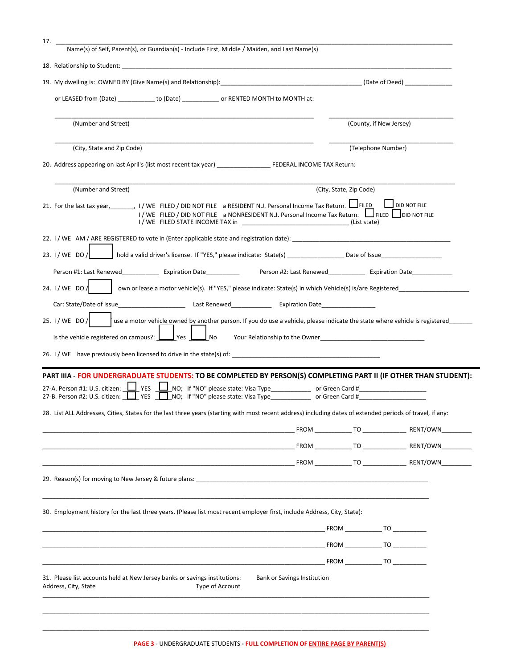| 17.<br>Name(s) of Self, Parent(s), or Guardian(s) - Include First, Middle / Maiden, and Last Name(s)                                                                                                                                                                                   |                                    |                         |                         |  |
|----------------------------------------------------------------------------------------------------------------------------------------------------------------------------------------------------------------------------------------------------------------------------------------|------------------------------------|-------------------------|-------------------------|--|
| 18. Relationship to Student: North and Students and Students and Students and Students and Students and Students                                                                                                                                                                       |                                    |                         |                         |  |
| 19. My dwelling is: OWNED BY (Give Name(s) and Relationship): (Date of Deed) (Date of Deed)                                                                                                                                                                                            |                                    |                         |                         |  |
| or LEASED from (Date) ___________ to (Date) ___________ or RENTED MONTH to MONTH at:                                                                                                                                                                                                   |                                    |                         |                         |  |
|                                                                                                                                                                                                                                                                                        |                                    |                         |                         |  |
| (Number and Street)                                                                                                                                                                                                                                                                    |                                    |                         | (County, if New Jersey) |  |
| (City, State and Zip Code)                                                                                                                                                                                                                                                             |                                    |                         | (Telephone Number)      |  |
|                                                                                                                                                                                                                                                                                        |                                    |                         |                         |  |
|                                                                                                                                                                                                                                                                                        |                                    |                         |                         |  |
| (Number and Street)                                                                                                                                                                                                                                                                    |                                    | (City, State, Zip Code) |                         |  |
| 21. For the last tax year, 1/WE FILED / DID NOT FILE a RESIDENT N.J. Personal Income Tax Return.<br>I / WE FILED / DID NOT FILE a NONRESIDENT N.J. Personal Income Tax Return.   FILED   DID NOT FILE<br>I / WE FILED STATE INCOME TAX in The Contract of the Contract of Clist state) |                                    |                         | <b>DID NOT FILE</b>     |  |
|                                                                                                                                                                                                                                                                                        |                                    |                         |                         |  |
| 23. I/WE DO/                                                                                                                                                                                                                                                                           |                                    |                         |                         |  |
| Person #1: Last Renewed Expiration Date Person #2: Last Renewed Expiration Date                                                                                                                                                                                                        |                                    |                         |                         |  |
| 24. I / WE DO /                                                                                                                                                                                                                                                                        |                                    |                         |                         |  |
| Car: State/Date of Issue <b>Expiration</b> Last Renewed <b>Expiration</b> Date                                                                                                                                                                                                         |                                    |                         |                         |  |
|                                                                                                                                                                                                                                                                                        |                                    |                         |                         |  |
| use a motor vehicle owned by another person. If you do use a vehicle, please indicate the state where vehicle is registered_<br>25. I / WE DO /                                                                                                                                        |                                    |                         |                         |  |
| Is the vehicle registered on campus?: $\Box$ Yes $\Box$<br>J No<br>Your Relationship to the Owner News and Secretary Management of the Owner                                                                                                                                           |                                    |                         |                         |  |
| 26. I / WE have previously been licensed to drive in the state(s) of:                                                                                                                                                                                                                  |                                    |                         |                         |  |
|                                                                                                                                                                                                                                                                                        |                                    |                         |                         |  |
| PART IIIA - FOR UNDERGRADUATE STUDENTS: TO BE COMPLETED BY PERSON(S) COMPLETING PART II (IF OTHER THAN STUDENT):<br>27-A. Person #1: U.S. citizen: $\Box$ YES                                                                                                                          |                                    |                         |                         |  |
| 27-B. Person #2: U.S. citizen: U YES NO; If "NO" please state: Visa Type ______________ or Green Card #____________                                                                                                                                                                    |                                    |                         |                         |  |
| 28. List ALL Addresses, Cities, States for the last three years (starting with most recent address) including dates of extended periods of travel, if any:                                                                                                                             |                                    |                         |                         |  |
|                                                                                                                                                                                                                                                                                        |                                    |                         | FROM TO RENT/OWN        |  |
|                                                                                                                                                                                                                                                                                        |                                    |                         | FROM TO RENT/OWN        |  |
|                                                                                                                                                                                                                                                                                        |                                    |                         |                         |  |
| 29. Reason(s) for moving to New Jersey & future plans: 2008 and 2008 and 2008 and 2008 and 2008 and 2008 and 20                                                                                                                                                                        |                                    |                         |                         |  |
|                                                                                                                                                                                                                                                                                        |                                    |                         |                         |  |
| 30. Employment history for the last three years. (Please list most recent employer first, include Address, City, State):                                                                                                                                                               |                                    |                         |                         |  |
|                                                                                                                                                                                                                                                                                        |                                    |                         | FROM TO                 |  |
|                                                                                                                                                                                                                                                                                        |                                    |                         | FROM TO                 |  |
|                                                                                                                                                                                                                                                                                        |                                    |                         | FROM TO                 |  |
| 31. Please list accounts held at New Jersey banks or savings institutions:<br>Address, City, State<br>Type of Account                                                                                                                                                                  | <b>Bank or Savings Institution</b> |                         |                         |  |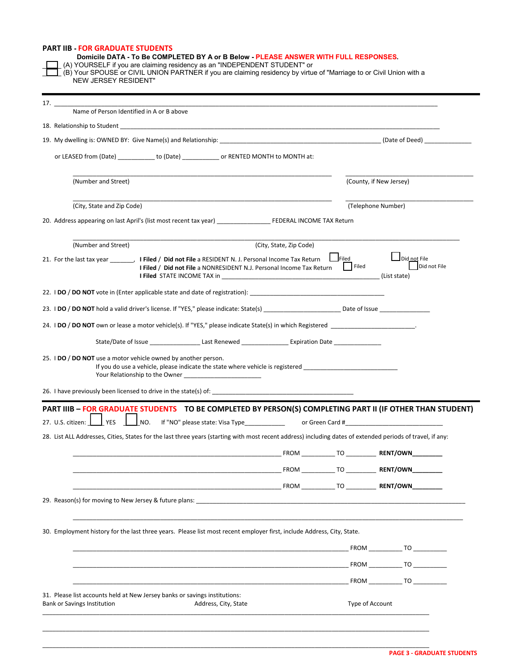| NEW JERSEY RESIDENT"                                                                                                                                                                                                                                        | (A) YOURSELF if you are claiming residency as an "INDEPENDENT STUDENT" or | Domicile DATA - To Be COMPLETED BY A or B Below - PLEASE ANSWER WITH FULL RESPONSES. | (B) Your SPOUSE or CIVIL UNION PARTNER if you are claiming residency by virtue of "Marriage to or Civil Union with a |
|-------------------------------------------------------------------------------------------------------------------------------------------------------------------------------------------------------------------------------------------------------------|---------------------------------------------------------------------------|--------------------------------------------------------------------------------------|----------------------------------------------------------------------------------------------------------------------|
|                                                                                                                                                                                                                                                             |                                                                           |                                                                                      |                                                                                                                      |
| Name of Person Identified in A or B above                                                                                                                                                                                                                   |                                                                           |                                                                                      |                                                                                                                      |
| 18. Relationship to Student and the state of the state of the state of the state of the state of the state of the state of the state of the state of the state of the state of the state of the state of the state of the stat                              |                                                                           |                                                                                      |                                                                                                                      |
| 19. My dwelling is: OWNED BY: Give Name(s) and Relationship: example and relationship and relationship:                                                                                                                                                     |                                                                           |                                                                                      |                                                                                                                      |
| or LEASED from (Date) _____________ to (Date) _____________ or RENTED MONTH to MONTH at:                                                                                                                                                                    |                                                                           |                                                                                      |                                                                                                                      |
| (Number and Street)                                                                                                                                                                                                                                         |                                                                           |                                                                                      | (County, if New Jersey)                                                                                              |
| (City, State and Zip Code)                                                                                                                                                                                                                                  |                                                                           |                                                                                      | (Telephone Number)                                                                                                   |
| 20. Address appearing on last April's (list most recent tax year) FEDERAL INCOME TAX Return                                                                                                                                                                 |                                                                           |                                                                                      |                                                                                                                      |
| (Number and Street)                                                                                                                                                                                                                                         | (City, State, Zip Code)                                                   |                                                                                      |                                                                                                                      |
| 21. For the last tax year _________, I Filed / Did not File a RESIDENT N. J. Personal Income Tax Return<br>I Filed / Did not File a NONRESIDENT N.J. Personal Income Tax Return                                                                             |                                                                           | Filed<br>  Filed                                                                     | Did not File<br>Did not File<br>(List state)                                                                         |
| 22. I DO / DO NOT vote in (Enter applicable state and date of registration):                                                                                                                                                                                |                                                                           |                                                                                      |                                                                                                                      |
|                                                                                                                                                                                                                                                             |                                                                           |                                                                                      |                                                                                                                      |
|                                                                                                                                                                                                                                                             |                                                                           |                                                                                      |                                                                                                                      |
| State/Date of Issue ________________________Last Renewed _____________________Expiration Date ________________                                                                                                                                              |                                                                           |                                                                                      |                                                                                                                      |
| 25. <b>IDO</b> / <b>DO NOT</b> use a motor vehicle owned by another person.<br>If you do use a vehicle, please indicate the state where vehicle is registered _______________________________                                                               |                                                                           |                                                                                      |                                                                                                                      |
| PART IIIB - FOR GRADUATE STUDENTS TO BE COMPLETED BY PERSON(S) COMPLETING PART II (IF OTHER THAN STUDENT)<br>27. U.S. citizen: VES UNO. If "NO" please state: Visa Type ______________ or Green Card #_                                                     |                                                                           |                                                                                      |                                                                                                                      |
| 28. List ALL Addresses, Cities, States for the last three years (starting with most recent address) including dates of extended periods of travel, if any:                                                                                                  |                                                                           |                                                                                      |                                                                                                                      |
|                                                                                                                                                                                                                                                             |                                                                           |                                                                                      |                                                                                                                      |
|                                                                                                                                                                                                                                                             |                                                                           |                                                                                      | _FROM _____________ TO ____________ RENT/OWN___________                                                              |
| <b>EXAMPLE 2018 RENT/OWN EROM</b> TO <b>RENT/OWN</b>                                                                                                                                                                                                        |                                                                           |                                                                                      |                                                                                                                      |
|                                                                                                                                                                                                                                                             |                                                                           |                                                                                      |                                                                                                                      |
| 29. Reason(s) for moving to New Jersey & future plans:                                                                                                                                                                                                      |                                                                           |                                                                                      |                                                                                                                      |
|                                                                                                                                                                                                                                                             |                                                                           |                                                                                      |                                                                                                                      |
| <b>EROM</b> TO THE RESERVE TO THE RESERVE TO A RESERVE TO A RESERVE TO A RESERVE TO A RESERVE TO A RESERVE TO A RESERVE TO A RESERVE TO A RESERVE TO A RESERVE TO A REPORT OF A RESERVE TO A REPORT OF A REPORT OF A REPORT OF A RE                         |                                                                           |                                                                                      |                                                                                                                      |
| <b>EROM</b> TO THE RESERVE TO THE RESERVE TO THE RESERVE TO THE RESERVE TO THE RESERVE TO THE RESERVE TO THE RESERVE TO THE RESERVE TO THE RESERVE TO THE RESERVE TO THE RESERVE TO THE RESERVE TO THE RESERVE TO THE RESERVE THAT                          |                                                                           |                                                                                      |                                                                                                                      |
|                                                                                                                                                                                                                                                             |                                                                           |                                                                                      |                                                                                                                      |
|                                                                                                                                                                                                                                                             |                                                                           |                                                                                      | <b>EROM</b> TO                                                                                                       |
| 30. Employment history for the last three years. Please list most recent employer first, include Address, City, State.<br>31. Please list accounts held at New Jersey banks or savings institutions:<br>Bank or Savings Institution<br>Address, City, State |                                                                           |                                                                                      | Type of Account                                                                                                      |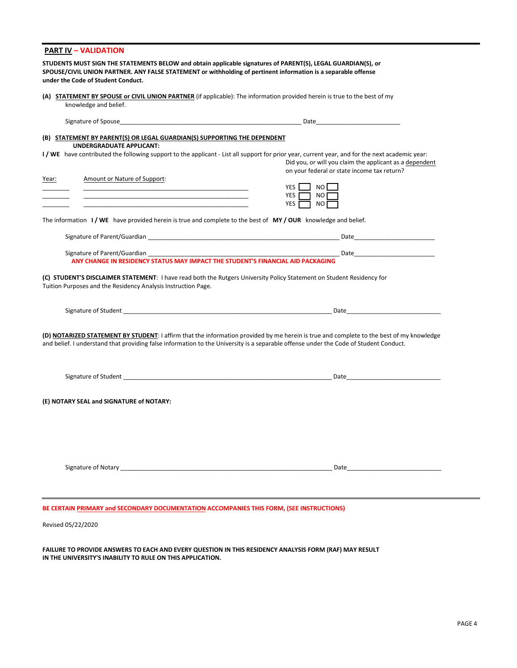|       | (A) STATEMENT BY SPOUSE or CIVIL UNION PARTNER (if applicable): The information provided herein is true to the best of my<br>knowledge and belief.                                                                                                                        |                                                                                                                                                                                                                                |
|-------|---------------------------------------------------------------------------------------------------------------------------------------------------------------------------------------------------------------------------------------------------------------------------|--------------------------------------------------------------------------------------------------------------------------------------------------------------------------------------------------------------------------------|
|       | Signature of Spouse the contract of the contract of the contract of the contract of the contract of the contract of the contract of the contract of the contract of the contract of the contract of the contract of the contra                                            |                                                                                                                                                                                                                                |
|       | (B) STATEMENT BY PARENT(S) OR LEGAL GUARDIAN(S) SUPPORTING THE DEPENDENT                                                                                                                                                                                                  |                                                                                                                                                                                                                                |
|       | <b>UNDERGRADUATE APPLICANT:</b><br>I/WE have contributed the following support to the applicant - List all support for prior year, current year, and for the next academic year:                                                                                          | Did you, or will you claim the applicant as a dependent<br>on your federal or state income tax return?                                                                                                                         |
| Year: | Amount or Nature of Support:                                                                                                                                                                                                                                              | YES I<br>NO I<br>YES $\Box$<br>NO<br>YES <b>F</b><br>□ NO [                                                                                                                                                                    |
|       | The information $I/WE$ have provided herein is true and complete to the best of $MY/OUR$ knowledge and belief.                                                                                                                                                            |                                                                                                                                                                                                                                |
|       |                                                                                                                                                                                                                                                                           |                                                                                                                                                                                                                                |
|       |                                                                                                                                                                                                                                                                           |                                                                                                                                                                                                                                |
|       | ANY CHANGE IN RESIDENCY STATUS MAY IMPACT THE STUDENT'S FINANCIAL AID PACKAGING<br>(C) STUDENT'S DISCLAIMER STATEMENT: I have read both the Rutgers University Policy Statement on Student Residency for<br>Tuition Purposes and the Residency Analysis Instruction Page. |                                                                                                                                                                                                                                |
|       |                                                                                                                                                                                                                                                                           |                                                                                                                                                                                                                                |
|       | and belief. I understand that providing false information to the University is a separable offense under the Code of Student Conduct.                                                                                                                                     | (D) NOTARIZED STATEMENT BY STUDENT: I affirm that the information provided by me herein is true and complete to the best of my knowledge                                                                                       |
|       |                                                                                                                                                                                                                                                                           | Date and the contract of the contract of the contract of the contract of the contract of the contract of the contract of the contract of the contract of the contract of the contract of the contract of the contract of the c |
|       | (E) NOTARY SEAL and SIGNATURE of NOTARY:                                                                                                                                                                                                                                  |                                                                                                                                                                                                                                |

Revised 05/22/2020

**FAILURE TO PROVIDE ANSWERS TO EACH AND EVERY QUESTION IN THIS RESIDENCY ANALYSIS FORM (RAF) MAY RESULT IN THE UNIVERSITY'S INABILITY TO RULE ON THIS APPLICATION.**